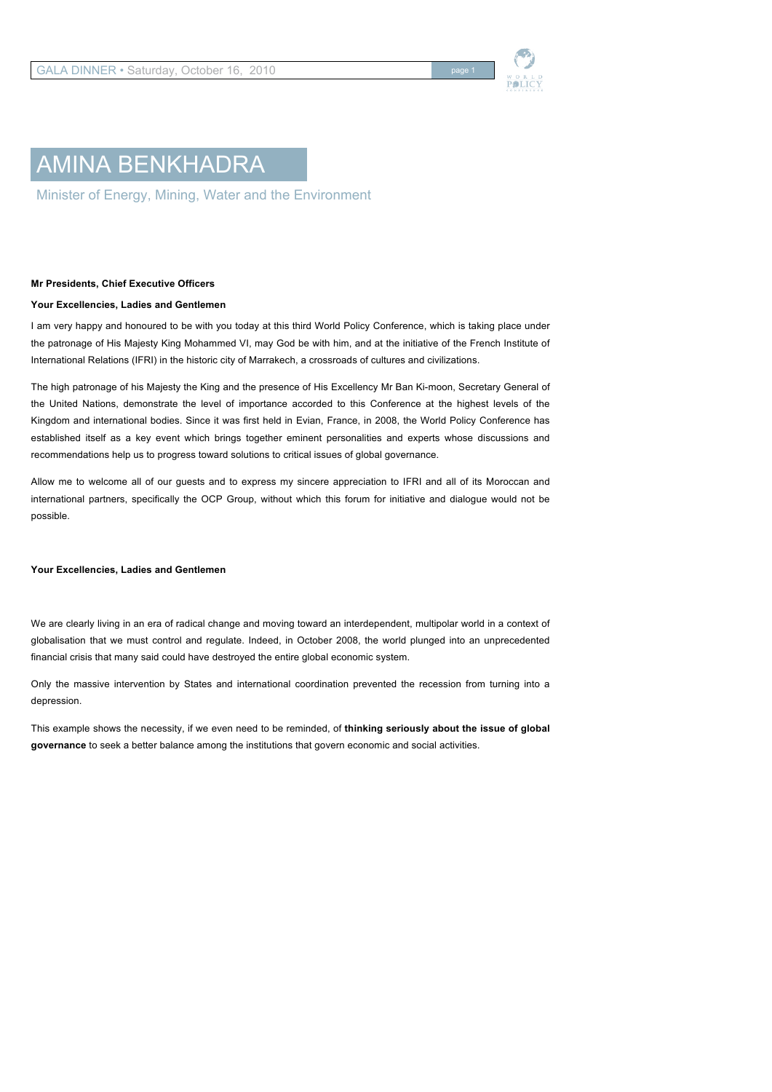

# AMINA BENKHADRA

Minister of Energy, Mining, Water and the Environment

## **Mr Presidents, Chief Executive Officers**

### **Your Excellencies, Ladies and Gentlemen**

I am very happy and honoured to be with you today at this third World Policy Conference, which is taking place under the patronage of His Majesty King Mohammed VI, may God be with him, and at the initiative of the French Institute of International Relations (IFRI) in the historic city of Marrakech, a crossroads of cultures and civilizations.

The high patronage of his Majesty the King and the presence of His Excellency Mr Ban Ki-moon, Secretary General of the United Nations, demonstrate the level of importance accorded to this Conference at the highest levels of the Kingdom and international bodies. Since it was first held in Evian, France, in 2008, the World Policy Conference has established itself as a key event which brings together eminent personalities and experts whose discussions and recommendations help us to progress toward solutions to critical issues of global governance.

Allow me to welcome all of our guests and to express my sincere appreciation to IFRI and all of its Moroccan and international partners, specifically the OCP Group, without which this forum for initiative and dialogue would not be possible.

#### **Your Excellencies, Ladies and Gentlemen**

We are clearly living in an era of radical change and moving toward an interdependent, multipolar world in a context of globalisation that we must control and regulate. Indeed, in October 2008, the world plunged into an unprecedented financial crisis that many said could have destroyed the entire global economic system.

Only the massive intervention by States and international coordination prevented the recession from turning into a depression.

This example shows the necessity, if we even need to be reminded, of **thinking seriously about the issue of global governance** to seek a better balance among the institutions that govern economic and social activities.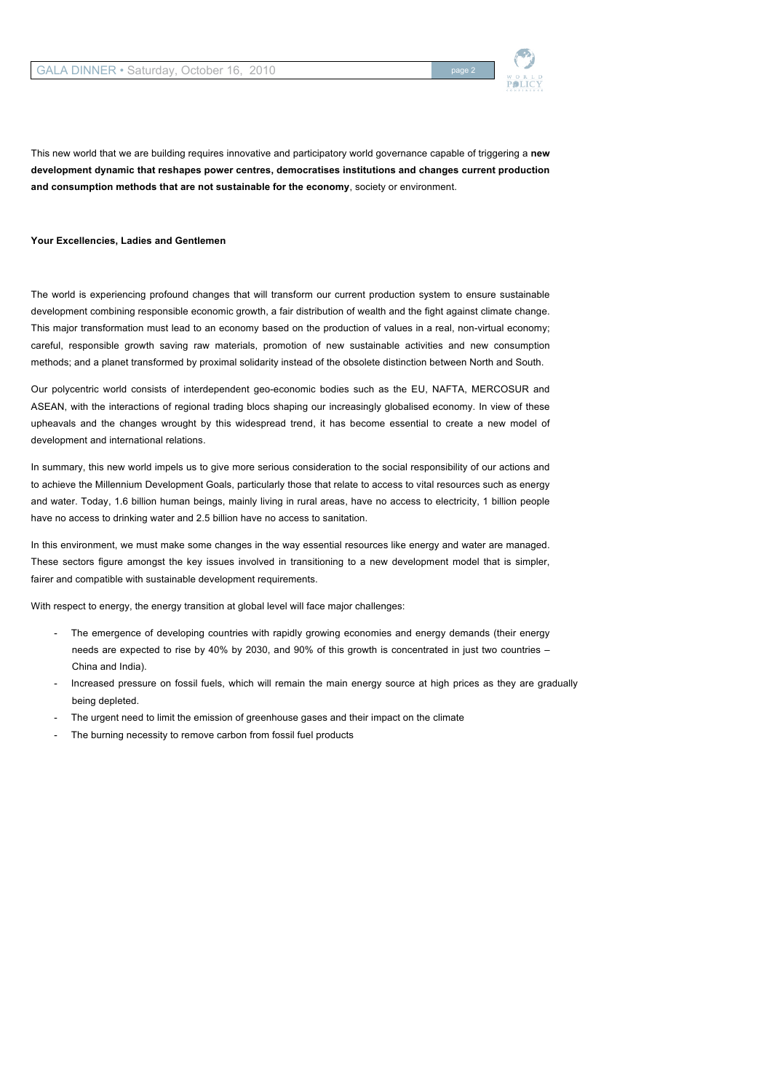

This new world that we are building requires innovative and participatory world governance capable of triggering a **new development dynamic that reshapes power centres, democratises institutions and changes current production and consumption methods that are not sustainable for the economy**, society or environment.

#### **Your Excellencies, Ladies and Gentlemen**

The world is experiencing profound changes that will transform our current production system to ensure sustainable development combining responsible economic growth, a fair distribution of wealth and the fight against climate change. This major transformation must lead to an economy based on the production of values in a real, non-virtual economy; careful, responsible growth saving raw materials, promotion of new sustainable activities and new consumption methods; and a planet transformed by proximal solidarity instead of the obsolete distinction between North and South.

Our polycentric world consists of interdependent geo-economic bodies such as the EU, NAFTA, MERCOSUR and ASEAN, with the interactions of regional trading blocs shaping our increasingly globalised economy. In view of these upheavals and the changes wrought by this widespread trend, it has become essential to create a new model of development and international relations.

In summary, this new world impels us to give more serious consideration to the social responsibility of our actions and to achieve the Millennium Development Goals, particularly those that relate to access to vital resources such as energy and water. Today, 1.6 billion human beings, mainly living in rural areas, have no access to electricity, 1 billion people have no access to drinking water and 2.5 billion have no access to sanitation.

In this environment, we must make some changes in the way essential resources like energy and water are managed. These sectors figure amongst the key issues involved in transitioning to a new development model that is simpler, fairer and compatible with sustainable development requirements.

With respect to energy, the energy transition at global level will face major challenges:

- The emergence of developing countries with rapidly growing economies and energy demands (their energy needs are expected to rise by 40% by 2030, and 90% of this growth is concentrated in just two countries – China and India).
- Increased pressure on fossil fuels, which will remain the main energy source at high prices as they are gradually being depleted.
- The urgent need to limit the emission of greenhouse gases and their impact on the climate
- The burning necessity to remove carbon from fossil fuel products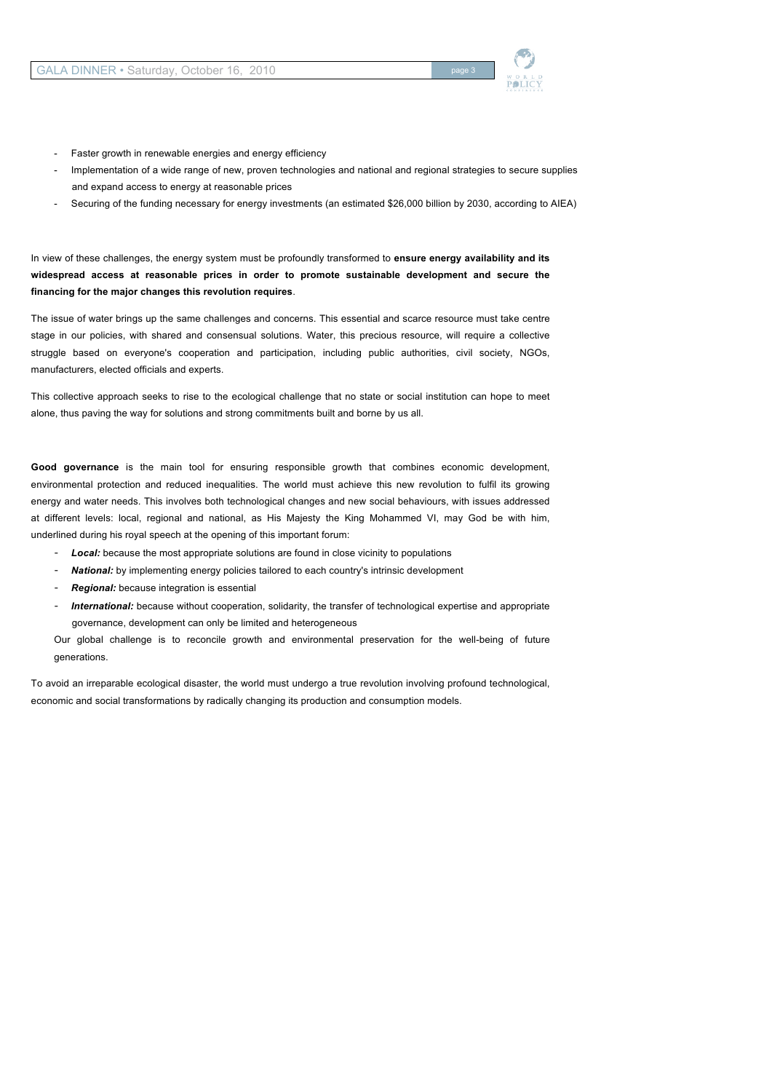

- Faster growth in renewable energies and energy efficiency
- Implementation of a wide range of new, proven technologies and national and regional strategies to secure supplies and expand access to energy at reasonable prices
- Securing of the funding necessary for energy investments (an estimated \$26,000 billion by 2030, according to AIEA)

In view of these challenges, the energy system must be profoundly transformed to **ensure energy availability and its widespread access at reasonable prices in order to promote sustainable development and secure the financing for the major changes this revolution requires**.

The issue of water brings up the same challenges and concerns. This essential and scarce resource must take centre stage in our policies, with shared and consensual solutions. Water, this precious resource, will require a collective struggle based on everyone's cooperation and participation, including public authorities, civil society, NGOs, manufacturers, elected officials and experts.

This collective approach seeks to rise to the ecological challenge that no state or social institution can hope to meet alone, thus paving the way for solutions and strong commitments built and borne by us all.

**Good governance** is the main tool for ensuring responsible growth that combines economic development, environmental protection and reduced inequalities. The world must achieve this new revolution to fulfil its growing energy and water needs. This involves both technological changes and new social behaviours, with issues addressed at different levels: local, regional and national, as His Majesty the King Mohammed VI, may God be with him, underlined during his royal speech at the opening of this important forum:

- Local: because the most appropriate solutions are found in close vicinity to populations
- *National:* by implementing energy policies tailored to each country's intrinsic development
- *Regional:* because integration is essential
- *International:* because without cooperation, solidarity, the transfer of technological expertise and appropriate governance, development can only be limited and heterogeneous

Our global challenge is to reconcile growth and environmental preservation for the well-being of future generations.

To avoid an irreparable ecological disaster, the world must undergo a true revolution involving profound technological, economic and social transformations by radically changing its production and consumption models.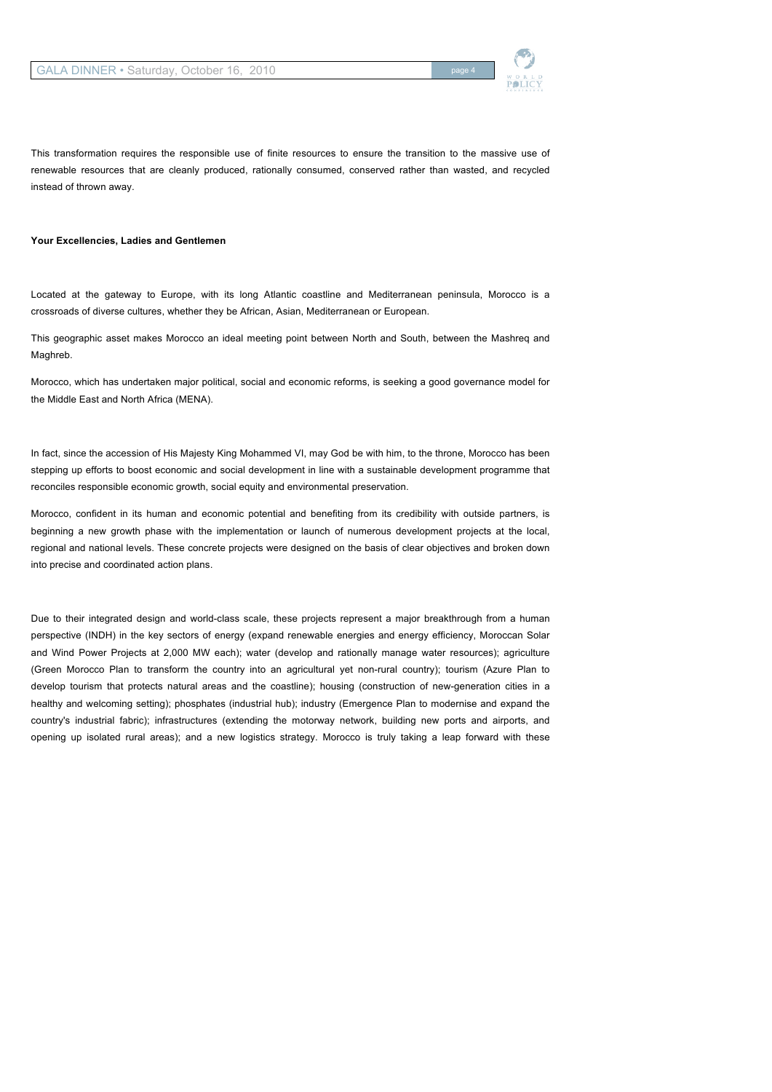

This transformation requires the responsible use of finite resources to ensure the transition to the massive use of renewable resources that are cleanly produced, rationally consumed, conserved rather than wasted, and recycled instead of thrown away.

#### **Your Excellencies, Ladies and Gentlemen**

Located at the gateway to Europe, with its long Atlantic coastline and Mediterranean peninsula, Morocco is a crossroads of diverse cultures, whether they be African, Asian, Mediterranean or European.

This geographic asset makes Morocco an ideal meeting point between North and South, between the Mashreq and Maghreb.

Morocco, which has undertaken major political, social and economic reforms, is seeking a good governance model for the Middle East and North Africa (MENA).

In fact, since the accession of His Majesty King Mohammed VI, may God be with him, to the throne, Morocco has been stepping up efforts to boost economic and social development in line with a sustainable development programme that reconciles responsible economic growth, social equity and environmental preservation.

Morocco, confident in its human and economic potential and benefiting from its credibility with outside partners, is beginning a new growth phase with the implementation or launch of numerous development projects at the local, regional and national levels. These concrete projects were designed on the basis of clear objectives and broken down into precise and coordinated action plans.

Due to their integrated design and world-class scale, these projects represent a major breakthrough from a human perspective (INDH) in the key sectors of energy (expand renewable energies and energy efficiency, Moroccan Solar and Wind Power Projects at 2,000 MW each); water (develop and rationally manage water resources); agriculture (Green Morocco Plan to transform the country into an agricultural yet non-rural country); tourism (Azure Plan to develop tourism that protects natural areas and the coastline); housing (construction of new-generation cities in a healthy and welcoming setting); phosphates (industrial hub); industry (Emergence Plan to modernise and expand the country's industrial fabric); infrastructures (extending the motorway network, building new ports and airports, and opening up isolated rural areas); and a new logistics strategy. Morocco is truly taking a leap forward with these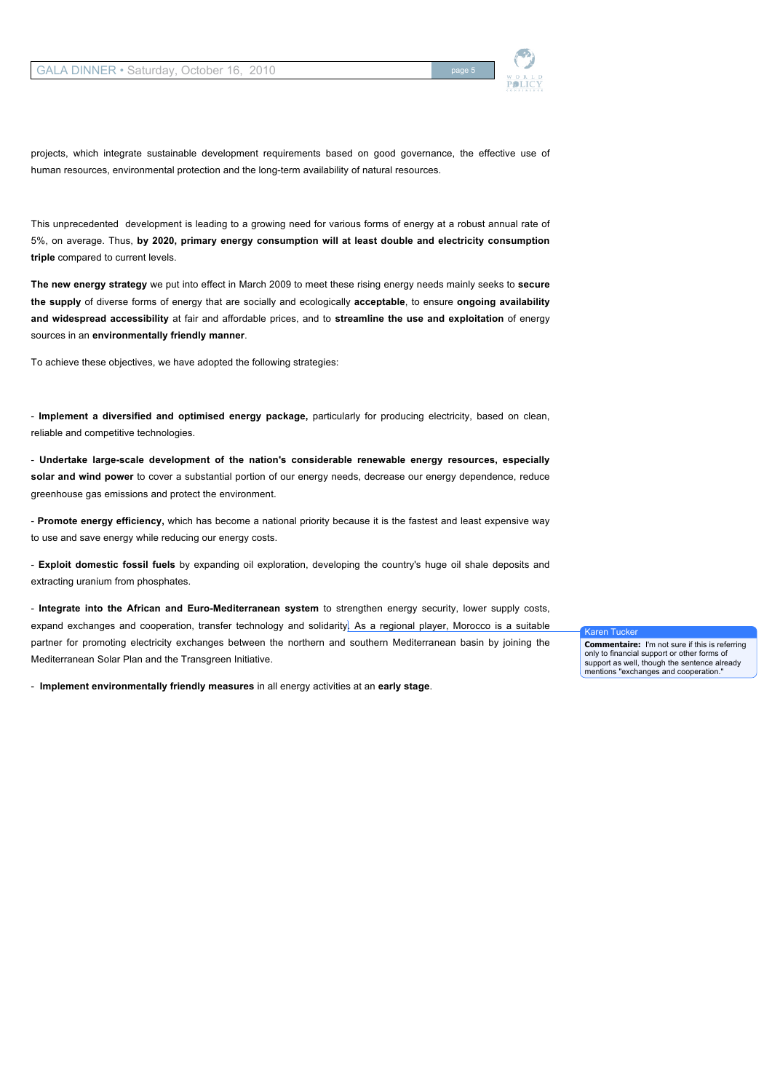

projects, which integrate sustainable development requirements based on good governance, the effective use of human resources, environmental protection and the long-term availability of natural resources.

This unprecedented development is leading to a growing need for various forms of energy at a robust annual rate of 5%, on average. Thus, **by 2020, primary energy consumption will at least double and electricity consumption triple** compared to current levels.

**The new energy strategy** we put into effect in March 2009 to meet these rising energy needs mainly seeks to **secure the supply** of diverse forms of energy that are socially and ecologically **acceptable**, to ensure **ongoing availability and widespread accessibility** at fair and affordable prices, and to **streamline the use and exploitation** of energy sources in an **environmentally friendly manner**.

To achieve these objectives, we have adopted the following strategies:

- **Implement a diversified and optimised energy package,** particularly for producing electricity, based on clean, reliable and competitive technologies.

- **Undertake large-scale development of the nation's considerable renewable energy resources, especially solar and wind power** to cover a substantial portion of our energy needs, decrease our energy dependence, reduce greenhouse gas emissions and protect the environment.

- **Promote energy efficiency,** which has become a national priority because it is the fastest and least expensive way to use and save energy while reducing our energy costs.

- **Exploit domestic fossil fuels** by expanding oil exploration, developing the country's huge oil shale deposits and extracting uranium from phosphates.

- **Integrate into the African and Euro-Mediterranean system** to strengthen energy security, lower supply costs, expand exchanges and cooperation, transfer technology and solidarity. As a regional player, Morocco is a suitable partner for promoting electricity exchanges between the northern and southern Mediterranean basin by joining the Mediterranean Solar Plan and the Transgreen Initiative.

- **Implement environmentally friendly measures** in all energy activities at an **early stage**.

Karen Tucker

**Commentaire:** I'm not sure if this is referring only to financial support or other forms of support as well, though the sentence already mentions "exchanges and cooperation."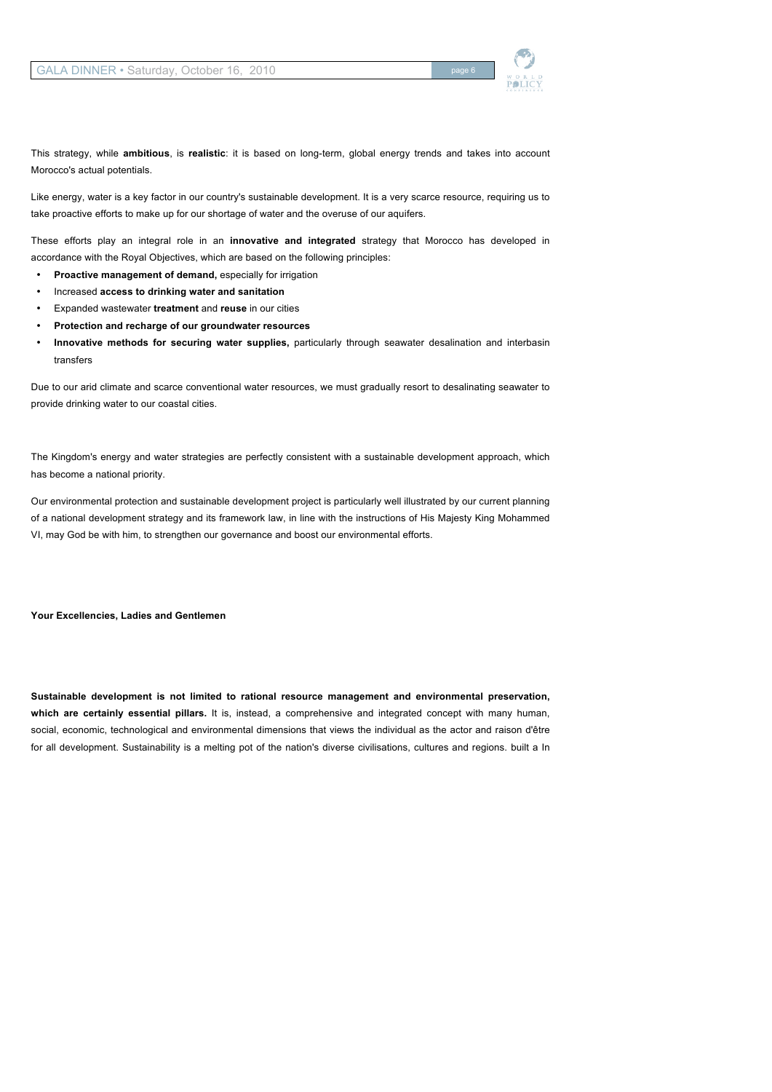

This strategy, while **ambitious**, is **realistic**: it is based on long-term, global energy trends and takes into account Morocco's actual potentials.

Like energy, water is a key factor in our country's sustainable development. It is a very scarce resource, requiring us to take proactive efforts to make up for our shortage of water and the overuse of our aquifers.

These efforts play an integral role in an **innovative and integrated** strategy that Morocco has developed in accordance with the Royal Objectives, which are based on the following principles:

- **Proactive management of demand,** especially for irrigation
- Increased **access to drinking water and sanitation**
- Expanded wastewater **treatment** and **reuse** in our cities
- **Protection and recharge of our groundwater resources**
- **Innovative methods for securing water supplies,** particularly through seawater desalination and interbasin transfers

Due to our arid climate and scarce conventional water resources, we must gradually resort to desalinating seawater to provide drinking water to our coastal cities.

The Kingdom's energy and water strategies are perfectly consistent with a sustainable development approach, which has become a national priority.

Our environmental protection and sustainable development project is particularly well illustrated by our current planning of a national development strategy and its framework law, in line with the instructions of His Majesty King Mohammed VI, may God be with him, to strengthen our governance and boost our environmental efforts.

**Your Excellencies, Ladies and Gentlemen**

**Sustainable development is not limited to rational resource management and environmental preservation, which are certainly essential pillars.** It is, instead, a comprehensive and integrated concept with many human, social, economic, technological and environmental dimensions that views the individual as the actor and raison d'être for all development. Sustainability is a melting pot of the nation's diverse civilisations, cultures and regions. built a In